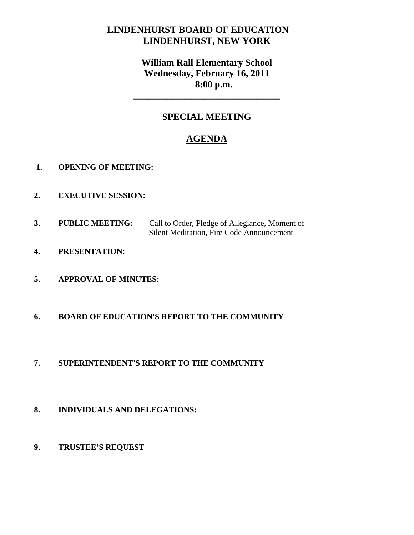# **LINDENHURST BOARD OF EDUCATION LINDENHURST, NEW YORK**

# **William Rall Elementary School Wednesday, February 16, 2011 8:00 p.m.**

# **SPECIAL MEETING**

**\_\_\_\_\_\_\_\_\_\_\_\_\_\_\_\_\_\_\_\_\_\_\_\_\_\_\_\_\_\_\_** 

# **AGENDA**

- **1. OPENING OF MEETING:**
- **2. EXECUTIVE SESSION:**
- **3. PUBLIC MEETING:** Call to Order, Pledge of Allegiance, Moment of Silent Meditation, Fire Code Announcement
- **4. PRESENTATION:**
- **5. APPROVAL OF MINUTES:**
- **6. BOARD OF EDUCATION'S REPORT TO THE COMMUNITY**
- **7. SUPERINTENDENT'S REPORT TO THE COMMUNITY**
- **8. INDIVIDUALS AND DELEGATIONS:**
- **9. TRUSTEE'S REQUEST**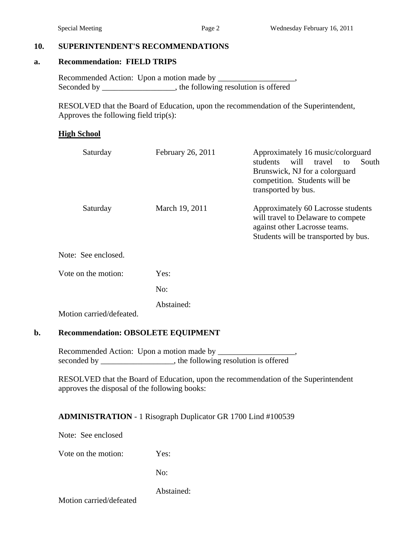#### **10. SUPERINTENDENT'S RECOMMENDATIONS**

#### **a. Recommendation: FIELD TRIPS**

 Recommended Action: Upon a motion made by \_\_\_\_\_\_\_\_\_\_\_\_\_\_\_\_\_\_\_, Seconded by \_\_\_\_\_\_\_\_\_\_\_\_\_\_\_, the following resolution is offered

 RESOLVED that the Board of Education, upon the recommendation of the Superintendent, Approves the following field trip(s):

#### **High School**

| Saturday            | February 26, 2011 | Approximately 16 music/colorguard<br>travel<br>students<br>will<br>South<br>to<br>Brunswick, NJ for a colorguard<br>competition. Students will be<br>transported by bus. |
|---------------------|-------------------|--------------------------------------------------------------------------------------------------------------------------------------------------------------------------|
| Saturday            | March 19, 2011    | Approximately 60 Lacrosse students<br>will travel to Delaware to compete<br>against other Lacrosse teams.<br>Students will be transported by bus.                        |
| Note: See enclosed. |                   |                                                                                                                                                                          |
| Vote on the motion: | Yes:              |                                                                                                                                                                          |
|                     | No:               |                                                                                                                                                                          |
|                     | Abstained:        |                                                                                                                                                                          |

Motion carried/defeated.

### **b. Recommendation: OBSOLETE EQUIPMENT**

Recommended Action: Upon a motion made by \_\_\_\_\_\_\_\_\_\_\_\_\_\_\_\_\_\_\_, seconded by \_\_\_\_\_\_\_\_\_\_\_\_\_\_\_, the following resolution is offered

 RESOLVED that the Board of Education, upon the recommendation of the Superintendent approves the disposal of the following books:

### **ADMINISTRATION** - 1 Risograph Duplicator GR 1700 Lind #100539

Note: See enclosed

Vote on the motion: Yes:

No:

Abstained:

Motion carried/defeated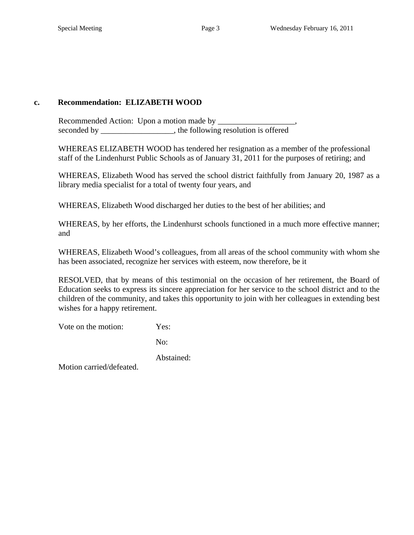### **c. Recommendation: ELIZABETH WOOD**

 Recommended Action: Upon a motion made by \_\_\_\_\_\_\_\_\_\_\_\_\_\_\_\_\_\_\_, seconded by the following resolution is offered

WHEREAS ELIZABETH WOOD has tendered her resignation as a member of the professional staff of the Lindenhurst Public Schools as of January 31, 2011 for the purposes of retiring; and

WHEREAS, Elizabeth Wood has served the school district faithfully from January 20, 1987 as a library media specialist for a total of twenty four years, and

WHEREAS, Elizabeth Wood discharged her duties to the best of her abilities; and

WHEREAS, by her efforts, the Lindenhurst schools functioned in a much more effective manner; and

WHEREAS, Elizabeth Wood's colleagues, from all areas of the school community with whom she has been associated, recognize her services with esteem, now therefore, be it

RESOLVED, that by means of this testimonial on the occasion of her retirement, the Board of Education seeks to express its sincere appreciation for her service to the school district and to the children of the community, and takes this opportunity to join with her colleagues in extending best wishes for a happy retirement.

Vote on the motion: Yes:

No:

Abstained:

Motion carried/defeated.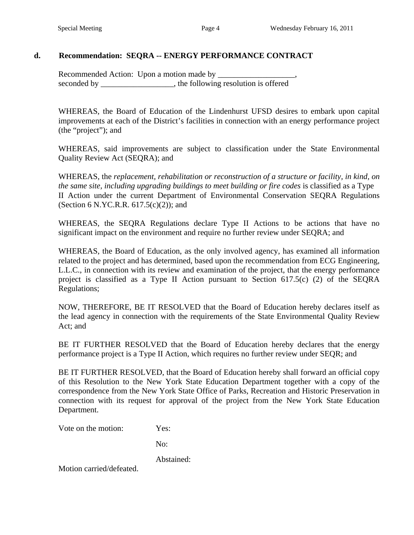### **d. Recommendation: SEQRA -- ENERGY PERFORMANCE CONTRACT**

 Recommended Action: Upon a motion made by \_\_\_\_\_\_\_\_\_\_\_\_\_\_\_\_\_\_\_, seconded by \_\_\_\_\_\_\_\_\_\_\_\_\_\_\_\_, the following resolution is offered

WHEREAS, the Board of Education of the Lindenhurst UFSD desires to embark upon capital improvements at each of the District's facilities in connection with an energy performance project (the "project"); and

WHEREAS, said improvements are subject to classification under the State Environmental Quality Review Act (SEQRA); and

WHEREAS, the *replacement, rehabilitation or reconstruction of a structure or facility, in kind, on the same site, including upgrading buildings to meet building or fire codes* is classified as a Type II Action under the current Department of Environmental Conservation SEQRA Regulations (Section 6 N.YC.R.R.  $617.5(c)(2)$ ); and

WHEREAS, the SEQRA Regulations declare Type II Actions to be actions that have no significant impact on the environment and require no further review under SEQRA; and

WHEREAS, the Board of Education, as the only involved agency, has examined all information related to the project and has determined, based upon the recommendation from ECG Engineering, L.L.C., in connection with its review and examination of the project, that the energy performance project is classified as a Type II Action pursuant to Section 617.5(c) (2) of the SEQRA Regulations;

NOW, THEREFORE, BE IT RESOLVED that the Board of Education hereby declares itself as the lead agency in connection with the requirements of the State Environmental Quality Review Act; and

BE IT FURTHER RESOLVED that the Board of Education hereby declares that the energy performance project is a Type II Action, which requires no further review under SEQR; and

BE IT FURTHER RESOLVED, that the Board of Education hereby shall forward an official copy of this Resolution to the New York State Education Department together with a copy of the correspondence from the New York State Office of Parks, Recreation and Historic Preservation in connection with its request for approval of the project from the New York State Education Department.

Vote on the motion: Yes:

No:

Abstained:

Motion carried/defeated.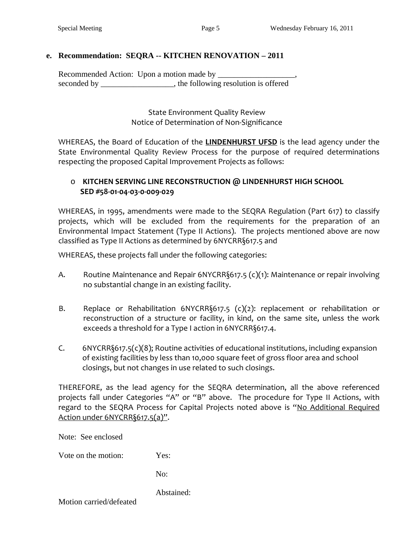## **e. Recommendation: SEQRA -- KITCHEN RENOVATION – 2011**

 Recommended Action: Upon a motion made by \_\_\_\_\_\_\_\_\_\_\_\_\_\_\_\_\_\_\_, seconded by \_\_\_\_\_\_\_\_\_\_\_\_\_\_\_\_\_, the following resolution is offered

> State Environment Quality Review Notice of Determination of Non‐Significance

WHEREAS, the Board of Education of the **LINDENHURST UFSD** is the lead agency under the State Environmental Quality Review Process for the purpose of required determinations respecting the proposed Capital Improvement Projects as follows:

## o **KITCHEN SERVING LINE RECONSTRUCTION @ LINDENHURST HIGH SCHOOL SED #58‐01‐04‐03‐0‐009‐029**

WHEREAS, in 1995, amendments were made to the SEQRA Regulation (Part 617) to classify projects, which will be excluded from the requirements for the preparation of an Environmental Impact Statement (Type II Actions). The projects mentioned above are now classified as Type II Actions as determined by 6NYCRR§617.5 and

WHEREAS, these projects fall under the following categories:

- A. Routine Maintenance and Repair 6NYCRR§617.5 (c)(1): Maintenance or repair involving no substantial change in an existing facility.
- B. Replace or Rehabilitation 6NYCRR§617.5 (c)(2): replacement or rehabilitation or reconstruction of a structure or facility, in kind, on the same site, unless the work exceeds a threshold for a Type I action in 6NYCRR§617.4.
- C. 6NYCRR§617.5(c)(8); Routine activities of educational institutions, including expansion of existing facilities by less than 10,000 square feet of gross floor area and school closings, but not changes in use related to such closings.

THEREFORE, as the lead agency for the SEQRA determination, all the above referenced projects fall under Categories "A" or "B" above. The procedure for Type II Actions, with regard to the SEQRA Process for Capital Projects noted above is "No Additional Required Action under 6NYCRR§617.5(a)".

Note: See enclosed

Vote on the motion: Yes:

No:

Abstained:

Motion carried/defeated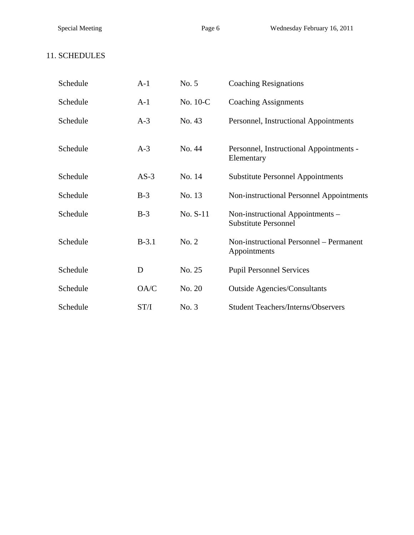# 11. SCHEDULES

| Schedule | $A-1$   | No. 5    | <b>Coaching Resignations</b>                                    |
|----------|---------|----------|-----------------------------------------------------------------|
| Schedule | $A-1$   | No. 10-C | <b>Coaching Assignments</b>                                     |
| Schedule | $A-3$   | No. 43   | Personnel, Instructional Appointments                           |
| Schedule | $A-3$   | No. 44   | Personnel, Instructional Appointments -<br>Elementary           |
| Schedule | $AS-3$  | No. 14   | <b>Substitute Personnel Appointments</b>                        |
| Schedule | $B-3$   | No. 13   | Non-instructional Personnel Appointments                        |
| Schedule | $B-3$   | No. S-11 | Non-instructional Appointments -<br><b>Substitute Personnel</b> |
| Schedule | $B-3.1$ | No. 2    | Non-instructional Personnel – Permanent<br>Appointments         |
| Schedule | D       | No. 25   | <b>Pupil Personnel Services</b>                                 |
| Schedule | OA/C    | No. 20   | <b>Outside Agencies/Consultants</b>                             |
| Schedule | ST/I    | No. 3    | <b>Student Teachers/Interns/Observers</b>                       |